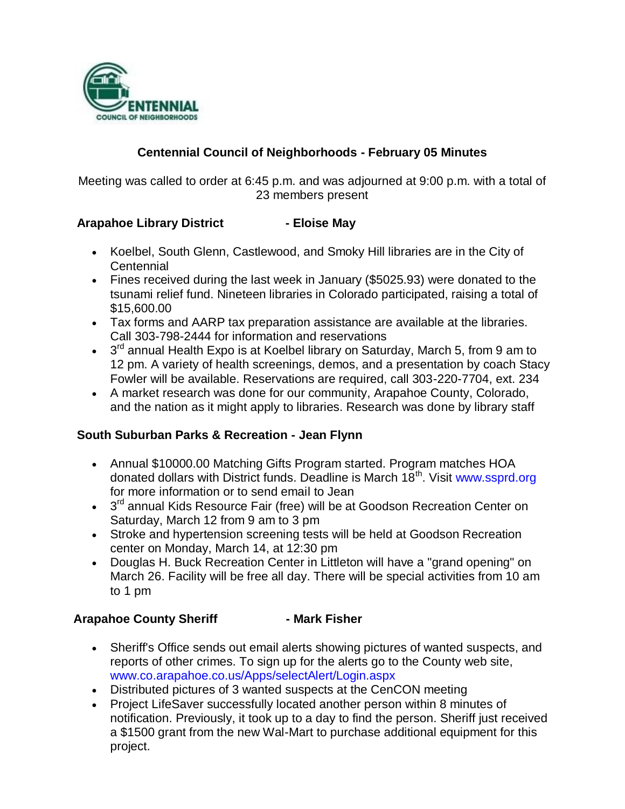

# **Centennial Council of Neighborhoods - February 05 Minutes**

Meeting was called to order at 6:45 p.m. and was adjourned at 9:00 p.m. with a total of 23 members present

### **Arapahoe Library District - Eloise May**

- Koelbel, South Glenn, Castlewood, and Smoky Hill libraries are in the City of **Centennial**
- Fines received during the last week in January (\$5025.93) were donated to the tsunami relief fund. Nineteen libraries in Colorado participated, raising a total of \$15,600.00
- Tax forms and AARP tax preparation assistance are available at the libraries. Call 303-798-2444 for information and reservations
- $\bullet$  3<sup>rd</sup> annual Health Expo is at Koelbel library on Saturday, March 5, from 9 am to 12 pm. A variety of health screenings, demos, and a presentation by coach Stacy Fowler will be available. Reservations are required, call 303-220-7704, ext. 234
- A market research was done for our community, Arapahoe County, Colorado, and the nation as it might apply to libraries. Research was done by library staff

### **South Suburban Parks & Recreation - Jean Flynn**

- Annual \$10000.00 Matching Gifts Program started. Program matches HOA donated dollars with District funds. Deadline is March 18<sup>th</sup>. Visit www.ssprd.org for more information or to send email to Jean
- 3<sup>rd</sup> annual Kids Resource Fair (free) will be at Goodson Recreation Center on Saturday, March 12 from 9 am to 3 pm
- Stroke and hypertension screening tests will be held at Goodson Recreation center on Monday, March 14, at 12:30 pm
- Douglas H. Buck Recreation Center in Littleton will have a "grand opening" on March 26. Facility will be free all day. There will be special activities from 10 am to 1 pm

#### **Arapahoe County Sheriff - Mark Fisher**

- Sheriff's Office sends out email alerts showing pictures of wanted suspects, and reports of other crimes. To sign up for the alerts go to the County web site, www.co.arapahoe.co.us/Apps/selectAlert/Login.aspx
- Distributed pictures of 3 wanted suspects at the CenCON meeting
- Project LifeSaver successfully located another person within 8 minutes of notification. Previously, it took up to a day to find the person. Sheriff just received a \$1500 grant from the new Wal-Mart to purchase additional equipment for this project.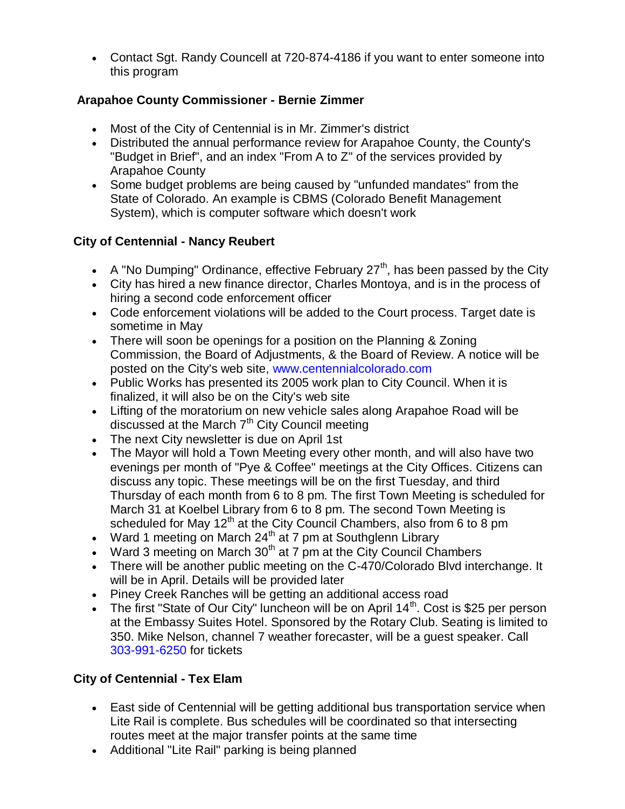Contact Sgt. Randy Councell at 720-874-4186 if you want to enter someone into this program

# **Arapahoe County Commissioner - Bernie Zimmer**

- Most of the City of Centennial is in Mr. Zimmer's district
- Distributed the annual performance review for Arapahoe County, the County's "Budget in Brief", and an index "From A to Z" of the services provided by Arapahoe County
- Some budget problems are being caused by "unfunded mandates" from the State of Colorado. An example is CBMS (Colorado Benefit Management System), which is computer software which doesn't work

# **City of Centennial - Nancy Reubert**

- A "No Dumping" Ordinance, effective February  $27<sup>th</sup>$ , has been passed by the City
- City has hired a new finance director, Charles Montoya, and is in the process of hiring a second code enforcement officer
- Code enforcement violations will be added to the Court process. Target date is sometime in May
- There will soon be openings for a position on the Planning & Zoning Commission, the Board of Adjustments, & the Board of Review. A notice will be posted on the City's web site, www.centennialcolorado.com
- Public Works has presented its 2005 work plan to City Council. When it is finalized, it will also be on the City's web site
- Lifting of the moratorium on new vehicle sales along Arapahoe Road will be discussed at the March  $7<sup>th</sup>$  City Council meeting
- The next City newsletter is due on April 1st
- The Mayor will hold a Town Meeting every other month, and will also have two evenings per month of "Pye & Coffee" meetings at the City Offices. Citizens can discuss any topic. These meetings will be on the first Tuesday, and third Thursday of each month from 6 to 8 pm. The first Town Meeting is scheduled for March 31 at Koelbel Library from 6 to 8 pm. The second Town Meeting is scheduled for May 12<sup>th</sup> at the City Council Chambers, also from 6 to 8 pm
- Ward 1 meeting on March  $24<sup>th</sup>$  at 7 pm at Southglenn Library
- Ward 3 meeting on March  $30<sup>th</sup>$  at 7 pm at the City Council Chambers
- There will be another public meeting on the C-470/Colorado Blvd interchange. It will be in April. Details will be provided later
- Piney Creek Ranches will be getting an additional access road
- The first "State of Our City" luncheon will be on April  $14<sup>th</sup>$ . Cost is \$25 per person at the Embassy Suites Hotel. Sponsored by the Rotary Club. Seating is limited to 350. Mike Nelson, channel 7 weather forecaster, will be a guest speaker. Call 303-991-6250 for tickets

# **City of Centennial - Tex Elam**

- East side of Centennial will be getting additional bus transportation service when Lite Rail is complete. Bus schedules will be coordinated so that intersecting routes meet at the major transfer points at the same time
- Additional "Lite Rail" parking is being planned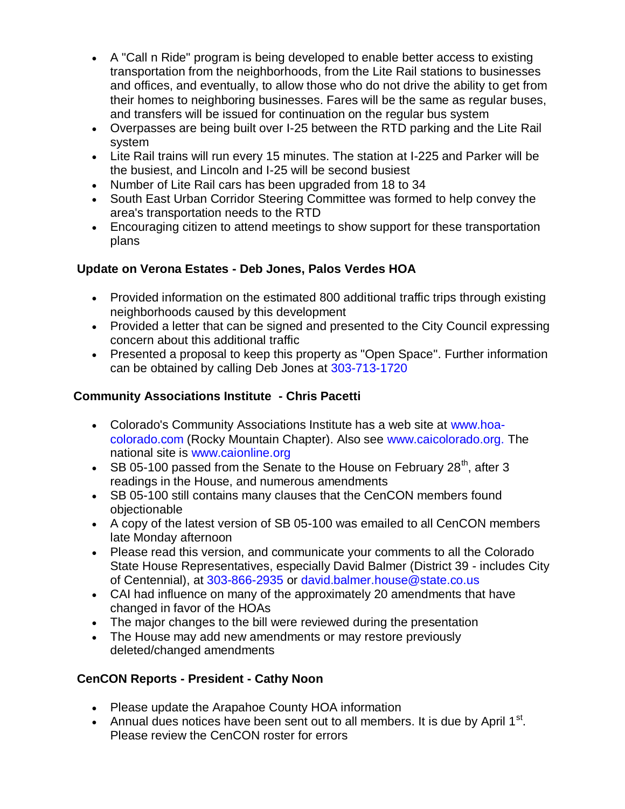- A "Call n Ride" program is being developed to enable better access to existing transportation from the neighborhoods, from the Lite Rail stations to businesses and offices, and eventually, to allow those who do not drive the ability to get from their homes to neighboring businesses. Fares will be the same as regular buses, and transfers will be issued for continuation on the regular bus system
- Overpasses are being built over I-25 between the RTD parking and the Lite Rail system
- Lite Rail trains will run every 15 minutes. The station at I-225 and Parker will be the busiest, and Lincoln and I-25 will be second busiest
- Number of Lite Rail cars has been upgraded from 18 to 34
- South East Urban Corridor Steering Committee was formed to help convey the area's transportation needs to the RTD
- Encouraging citizen to attend meetings to show support for these transportation plans

# **Update on Verona Estates - Deb Jones, Palos Verdes HOA**

- Provided information on the estimated 800 additional traffic trips through existing neighborhoods caused by this development
- Provided a letter that can be signed and presented to the City Council expressing concern about this additional traffic
- Presented a proposal to keep this property as "Open Space". Further information can be obtained by calling Deb Jones at 303-713-1720

# **Community Associations Institute - Chris Pacetti**

- Colorado's Community Associations Institute has a web site at www.hoacolorado.com (Rocky Mountain Chapter). Also see www.caicolorado.org. The national site is www.caionline.org
- SB 05-100 passed from the Senate to the House on February 28<sup>th</sup>, after 3 readings in the House, and numerous amendments
- SB 05-100 still contains many clauses that the CenCON members found objectionable
- A copy of the latest version of SB 05-100 was emailed to all CenCON members late Monday afternoon
- Please read this version, and communicate your comments to all the Colorado State House Representatives, especially David Balmer (District 39 - includes City of Centennial), at 303-866-2935 or david.balmer.house@state.co.us
- CAI had influence on many of the approximately 20 amendments that have changed in favor of the HOAs
- The major changes to the bill were reviewed during the presentation
- The House may add new amendments or may restore previously deleted/changed amendments

# **CenCON Reports - President - Cathy Noon**

- Please update the Arapahoe County HOA information
- Annual dues notices have been sent out to all members. It is due by April  $1<sup>st</sup>$ . Please review the CenCON roster for errors